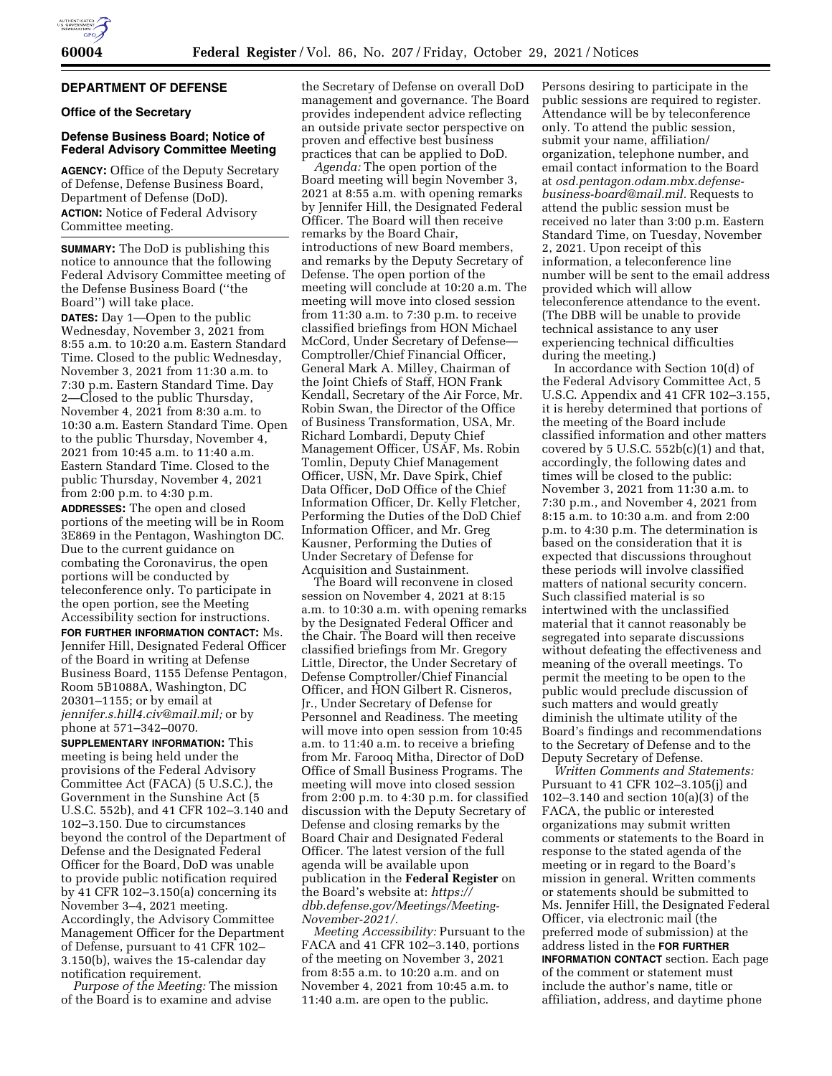

# **DEPARTMENT OF DEFENSE**

**Office of the Secretary** 

### **Defense Business Board; Notice of Federal Advisory Committee Meeting**

**AGENCY:** Office of the Deputy Secretary of Defense, Defense Business Board, Department of Defense (DoD). **ACTION:** Notice of Federal Advisory Committee meeting.

**SUMMARY:** The DoD is publishing this notice to announce that the following Federal Advisory Committee meeting of the Defense Business Board (''the Board'') will take place.

**DATES:** Day 1—Open to the public Wednesday, November 3, 2021 from 8:55 a.m. to 10:20 a.m. Eastern Standard Time. Closed to the public Wednesday, November 3, 2021 from 11:30 a.m. to 7:30 p.m. Eastern Standard Time. Day 2—Closed to the public Thursday, November 4, 2021 from 8:30 a.m. to 10:30 a.m. Eastern Standard Time. Open to the public Thursday, November 4, 2021 from 10:45 a.m. to 11:40 a.m. Eastern Standard Time. Closed to the public Thursday, November 4, 2021 from 2:00 p.m. to 4:30 p.m.

**ADDRESSES:** The open and closed portions of the meeting will be in Room 3E869 in the Pentagon, Washington DC. Due to the current guidance on combating the Coronavirus, the open portions will be conducted by teleconference only. To participate in the open portion, see the Meeting Accessibility section for instructions.

**FOR FURTHER INFORMATION CONTACT:** Ms. Jennifer Hill, Designated Federal Officer of the Board in writing at Defense Business Board, 1155 Defense Pentagon, Room 5B1088A, Washington, DC 20301–1155; or by email at *[jennifer.s.hill4.civ@mail.mil;](mailto:jennifer.s.hill4.civ@mail.mil)* or by phone at 571–342–0070.

**SUPPLEMENTARY INFORMATION:** This meeting is being held under the provisions of the Federal Advisory Committee Act (FACA) (5 U.S.C.), the Government in the Sunshine Act (5 U.S.C. 552b), and 41 CFR 102–3.140 and 102–3.150. Due to circumstances beyond the control of the Department of Defense and the Designated Federal Officer for the Board, DoD was unable to provide public notification required by 41 CFR 102–3.150(a) concerning its November 3–4, 2021 meeting. Accordingly, the Advisory Committee Management Officer for the Department of Defense, pursuant to 41 CFR 102– 3.150(b), waives the 15-calendar day notification requirement.

*Purpose of the Meeting:* The mission of the Board is to examine and advise

the Secretary of Defense on overall DoD management and governance. The Board provides independent advice reflecting an outside private sector perspective on proven and effective best business practices that can be applied to DoD.

*Agenda:* The open portion of the Board meeting will begin November 3, 2021 at 8:55 a.m. with opening remarks by Jennifer Hill, the Designated Federal Officer. The Board will then receive remarks by the Board Chair, introductions of new Board members, and remarks by the Deputy Secretary of Defense. The open portion of the meeting will conclude at 10:20 a.m. The meeting will move into closed session from 11:30 a.m. to 7:30 p.m. to receive classified briefings from HON Michael McCord, Under Secretary of Defense— Comptroller/Chief Financial Officer, General Mark A. Milley, Chairman of the Joint Chiefs of Staff, HON Frank Kendall, Secretary of the Air Force, Mr. Robin Swan, the Director of the Office of Business Transformation, USA, Mr. Richard Lombardi, Deputy Chief Management Officer, USAF, Ms. Robin Tomlin, Deputy Chief Management Officer, USN, Mr. Dave Spirk, Chief Data Officer, DoD Office of the Chief Information Officer, Dr. Kelly Fletcher, Performing the Duties of the DoD Chief Information Officer, and Mr. Greg Kausner, Performing the Duties of Under Secretary of Defense for Acquisition and Sustainment.

The Board will reconvene in closed session on November 4, 2021 at 8:15 a.m. to 10:30 a.m. with opening remarks by the Designated Federal Officer and the Chair. The Board will then receive classified briefings from Mr. Gregory Little, Director, the Under Secretary of Defense Comptroller/Chief Financial Officer, and HON Gilbert R. Cisneros, Jr., Under Secretary of Defense for Personnel and Readiness. The meeting will move into open session from 10:45 a.m. to 11:40 a.m. to receive a briefing from Mr. Farooq Mitha, Director of DoD Office of Small Business Programs. The meeting will move into closed session from 2:00 p.m. to 4:30 p.m. for classified discussion with the Deputy Secretary of Defense and closing remarks by the Board Chair and Designated Federal Officer. The latest version of the full agenda will be available upon publication in the **Federal Register** on the Board's website at: *[https://](https://dbb.defense.gov/Meetings/Meeting-November-2021/) [dbb.defense.gov/Meetings/Meeting-](https://dbb.defense.gov/Meetings/Meeting-November-2021/)[November-2021/.](https://dbb.defense.gov/Meetings/Meeting-November-2021/)* 

*Meeting Accessibility:* Pursuant to the FACA and 41 CFR 102–3.140, portions of the meeting on November 3, 2021 from 8:55 a.m. to 10:20 a.m. and on November 4, 2021 from 10:45 a.m. to 11:40 a.m. are open to the public.

Persons desiring to participate in the public sessions are required to register. Attendance will be by teleconference only. To attend the public session, submit your name, affiliation/ organization, telephone number, and email contact information to the Board at *[osd.pentagon.odam.mbx.defense](mailto:osd.pentagon.odam.mbx.defense-business-board@mail.mil)[business-board@mail.mil.](mailto:osd.pentagon.odam.mbx.defense-business-board@mail.mil)* Requests to attend the public session must be received no later than 3:00 p.m. Eastern Standard Time, on Tuesday, November 2, 2021. Upon receipt of this information, a teleconference line number will be sent to the email address provided which will allow teleconference attendance to the event. (The DBB will be unable to provide technical assistance to any user experiencing technical difficulties during the meeting.)

In accordance with Section 10(d) of the Federal Advisory Committee Act, 5 U.S.C. Appendix and 41 CFR 102–3.155, it is hereby determined that portions of the meeting of the Board include classified information and other matters covered by 5 U.S.C.  $552b(c)(1)$  and that, accordingly, the following dates and times will be closed to the public: November 3, 2021 from 11:30 a.m. to 7:30 p.m., and November 4, 2021 from 8:15 a.m. to 10:30 a.m. and from 2:00 p.m. to 4:30 p.m. The determination is based on the consideration that it is expected that discussions throughout these periods will involve classified matters of national security concern. Such classified material is so intertwined with the unclassified material that it cannot reasonably be segregated into separate discussions without defeating the effectiveness and meaning of the overall meetings. To permit the meeting to be open to the public would preclude discussion of such matters and would greatly diminish the ultimate utility of the Board's findings and recommendations to the Secretary of Defense and to the Deputy Secretary of Defense.

*Written Comments and Statements:*  Pursuant to 41 CFR 102–3.105(j) and 102–3.140 and section 10(a)(3) of the FACA, the public or interested organizations may submit written comments or statements to the Board in response to the stated agenda of the meeting or in regard to the Board's mission in general. Written comments or statements should be submitted to Ms. Jennifer Hill, the Designated Federal Officer, via electronic mail (the preferred mode of submission) at the address listed in the **FOR FURTHER INFORMATION CONTACT** section. Each page of the comment or statement must include the author's name, title or affiliation, address, and daytime phone